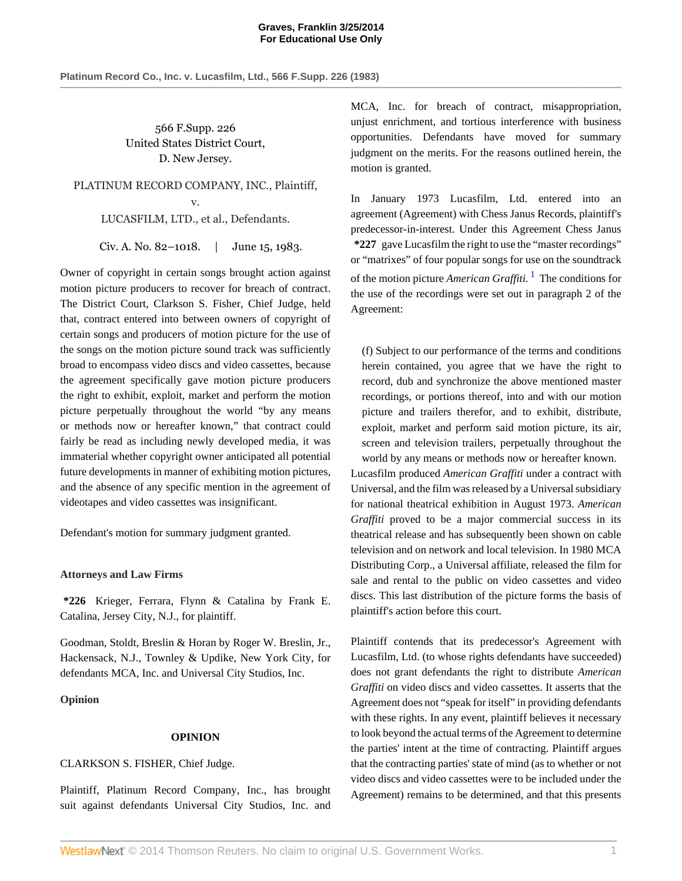**Platinum Record Co., Inc. v. Lucasfilm, Ltd., 566 F.Supp. 226 (1983)**

566 F.Supp. 226 United States District Court, D. New Jersey.

PLATINUM RECORD COMPANY, INC., Plaintiff, v. LUCASFILM, LTD., et al., Defendants.

Civ. A. No. 82–1018. | June 15, 1983.

Owner of copyright in certain songs brought action against motion picture producers to recover for breach of contract. The District Court, Clarkson S. Fisher, Chief Judge, held that, contract entered into between owners of copyright of certain songs and producers of motion picture for the use of the songs on the motion picture sound track was sufficiently broad to encompass video discs and video cassettes, because the agreement specifically gave motion picture producers the right to exhibit, exploit, market and perform the motion picture perpetually throughout the world "by any means or methods now or hereafter known," that contract could fairly be read as including newly developed media, it was immaterial whether copyright owner anticipated all potential future developments in manner of exhibiting motion pictures, and the absence of any specific mention in the agreement of videotapes and video cassettes was insignificant.

Defendant's motion for summary judgment granted.

## **Attorneys and Law Firms**

**\*226** Krieger, Ferrara, Flynn & Catalina by Frank E. Catalina, Jersey City, N.J., for plaintiff.

Goodman, Stoldt, Breslin & Horan by Roger W. Breslin, Jr., Hackensack, N.J., Townley & Updike, New York City, for defendants MCA, Inc. and Universal City Studios, Inc.

**Opinion**

## **OPINION**

## CLARKSON S. FISHER, Chief Judge.

Plaintiff, Platinum Record Company, Inc., has brought suit against defendants Universal City Studios, Inc. and MCA, Inc. for breach of contract, misappropriation, unjust enrichment, and tortious interference with business opportunities. Defendants have moved for summary judgment on the merits. For the reasons outlined herein, the motion is granted.

In January 1973 Lucasfilm, Ltd. entered into an agreement (Agreement) with Chess Janus Records, plaintiff's predecessor-in-interest. Under this Agreement Chess Janus **\*227** gave Lucasfilm the right to use the "master recordings" or "matrixes" of four popular songs for use on the soundtrack of the motion picture *American Graffiti*.<sup>[1](#page-1-0)</sup> The conditions for the use of the recordings were set out in paragraph 2 of the Agreement:

<span id="page-0-0"></span>(f) Subject to our performance of the terms and conditions herein contained, you agree that we have the right to record, dub and synchronize the above mentioned master recordings, or portions thereof, into and with our motion picture and trailers therefor, and to exhibit, distribute, exploit, market and perform said motion picture, its air, screen and television trailers, perpetually throughout the world by any means or methods now or hereafter known.

Lucasfilm produced *American Graffiti* under a contract with Universal, and the film was released by a Universal subsidiary for national theatrical exhibition in August 1973. *American Graffiti* proved to be a major commercial success in its theatrical release and has subsequently been shown on cable television and on network and local television. In 1980 MCA Distributing Corp., a Universal affiliate, released the film for sale and rental to the public on video cassettes and video discs. This last distribution of the picture forms the basis of plaintiff's action before this court.

Plaintiff contends that its predecessor's Agreement with Lucasfilm, Ltd. (to whose rights defendants have succeeded) does not grant defendants the right to distribute *American Graffiti* on video discs and video cassettes. It asserts that the Agreement does not "speak for itself" in providing defendants with these rights. In any event, plaintiff believes it necessary to look beyond the actual terms of the Agreement to determine the parties' intent at the time of contracting. Plaintiff argues that the contracting parties' state of mind (as to whether or not video discs and video cassettes were to be included under the Agreement) remains to be determined, and that this presents